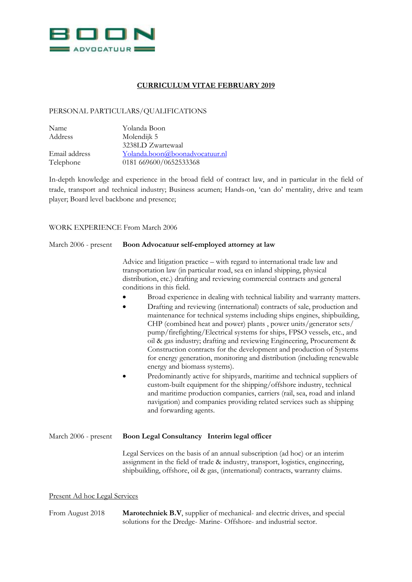

## **CURRICULUM VITAE FEBRUARY 2019**

## PERSONAL PARTICULARS/QUALIFICATIONS

| Name          | Yolanda Boon                   |
|---------------|--------------------------------|
| Address       | Molendijk 5                    |
|               | 3238LD Zwartewaal              |
| Email address | Yolanda.boon@boonadvocatuur.nl |
| Telephone     | 0181 669600/0652533368         |

In-depth knowledge and experience in the broad field of contract law, and in particular in the field of trade, transport and technical industry; Business acumen; Hands-on, 'can do' mentality, drive and team player; Board level backbone and presence;

## WORK EXPERIENCE From March 2006

| March 2006 - present | Boon Advocatuur self-employed attorney at law<br>Advice and litigation practice – with regard to international trade law and<br>transportation law (in particular road, sea en inland shipping, physical<br>distribution, etc.) drafting and reviewing commercial contracts and general<br>conditions in this field.          |  |
|----------------------|-------------------------------------------------------------------------------------------------------------------------------------------------------------------------------------------------------------------------------------------------------------------------------------------------------------------------------|--|
|                      |                                                                                                                                                                                                                                                                                                                               |  |
|                      | Predominantly active for shipyards, maritime and technical suppliers of<br>custom-built equipment for the shipping/offshore industry, technical<br>and maritime production companies, carriers (rail, sea, road and inland<br>navigation) and companies providing related services such as shipping<br>and forwarding agents. |  |
| March 2006 - present | Boon Legal Consultancy Interim legal officer                                                                                                                                                                                                                                                                                  |  |
|                      | Legal Services on the basis of an annual subscription (ad hoc) or an interim<br>assignment in the field of trade & industry, transport, logistics, engineering,<br>shipbuilding, offshore, oil & gas, (international) contracts, warranty claims.                                                                             |  |

## Present Ad hoc Legal Services

From August 2018 **Marotechniek B.V**, supplier of mechanical- and electric drives, and special solutions for the Dredge- Marine- Offshore- and industrial sector.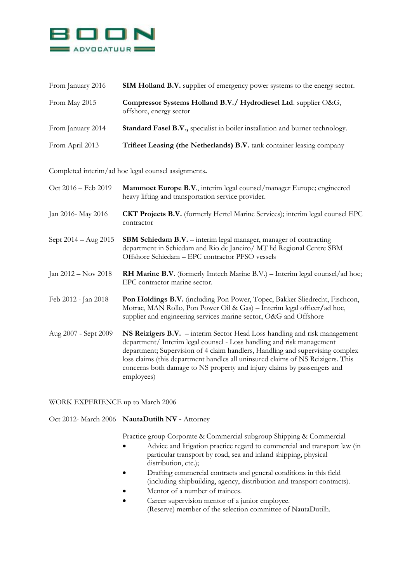

| From January 2016 | <b>SIM Holland B.V.</b> supplier of emergency power systems to the energy sector.          |
|-------------------|--------------------------------------------------------------------------------------------|
| From May 2015     | Compressor Systems Holland B.V./ Hydrodiesel Ltd. supplier O&G,<br>offshore, energy sector |
| From January 2014 | Standard Fasel B.V., specialist in boiler installation and burner technology.              |
| From April 2013   | Trifleet Leasing (the Netherlands) B.V. tank container leasing company                     |

Completed interim/ad hoc legal counsel assignments**.**

| Oct 2016 – Feb 2019   | Mammoet Europe B.V., interim legal counsel/manager Europe; engineered<br>heavy lifting and transportation service provider.                                                                                                                                                                                                                                                                                     |
|-----------------------|-----------------------------------------------------------------------------------------------------------------------------------------------------------------------------------------------------------------------------------------------------------------------------------------------------------------------------------------------------------------------------------------------------------------|
| Jan 2016- May 2016    | <b>CKT Projects B.V.</b> (formerly Hertel Marine Services); interim legal counsel EPC<br>contractor                                                                                                                                                                                                                                                                                                             |
| Sept 2014 – Aug 2015  | <b>SBM Schiedam B.V.</b> – interim legal manager, manager of contracting<br>department in Schiedam and Rio de Janeiro/ MT lid Regional Centre SBM<br>Offshore Schiedam - EPC contractor PFSO vessels                                                                                                                                                                                                            |
| Jan $2012 - Nov 2018$ | <b>RH Marine B.V.</b> (formerly Imtech Marine B.V.) – Interim legal counsel/ad hoc;<br>EPC contractor marine sector.                                                                                                                                                                                                                                                                                            |
| Feb 2012 - Jan 2018   | Pon Holdings B.V. (including Pon Power, Topec, Bakker Sliedrecht, Fischcon,<br>Motrac, MAN Rollo, Pon Power Oil & Gas) – Interim legal officer/ad hoc,<br>supplier and engineering services marine sector, O&G and Offshore                                                                                                                                                                                     |
| Aug 2007 - Sept 2009  | NS Reizigers B.V. – interim Sector Head Loss handling and risk management<br>department/ Interim legal counsel - Loss handling and risk management<br>department; Supervision of 4 claim handlers, Handling and supervising complex<br>loss claims (this department handles all uninsured claims of NS Reizigers. This<br>concerns both damage to NS property and injury claims by passengers and<br>employees) |

WORK EXPERIENCE up to March 2006

Oct 2012- March 2006 **NautaDutilh NV -** Attorney

Practice group Corporate & Commercial subgroup Shipping & Commercial

- Advice and litigation practice regard to commercial and transport law (in particular transport by road, sea and inland shipping, physical distribution, etc.);
- Drafting commercial contracts and general conditions in this field (including shipbuilding, agency, distribution and transport contracts).
- Mentor of a number of trainees.
- Career supervision mentor of a junior employee. (Reserve) member of the selection committee of NautaDutilh.